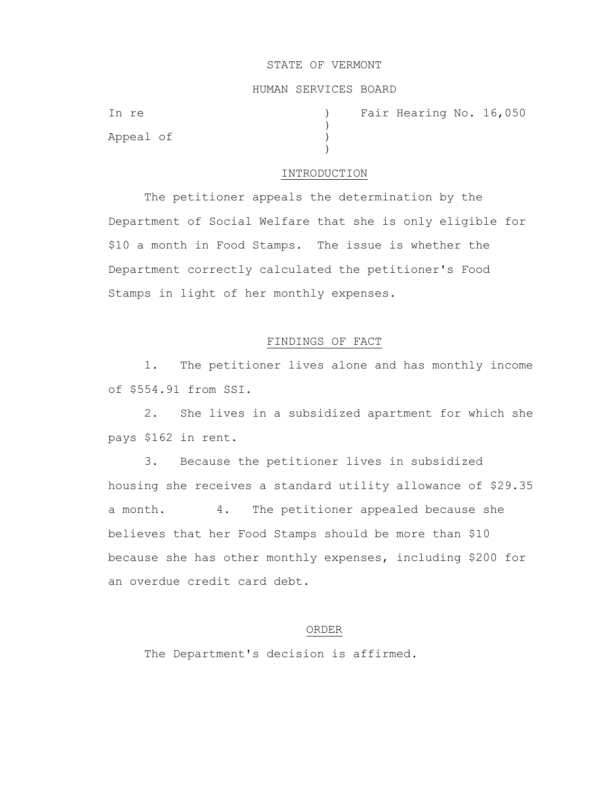#### STATE OF VERMONT

# HUMAN SERVICES BOARD

 $\lambda$ 

 $\lambda$ 

Appeal of )

In re ) Fair Hearing No. 16,050

### INTRODUCTION

The petitioner appeals the determination by the Department of Social Welfare that she is only eligible for \$10 a month in Food Stamps. The issue is whether the Department correctly calculated the petitioner's Food Stamps in light of her monthly expenses.

## FINDINGS OF FACT

1. The petitioner lives alone and has monthly income of \$554.91 from SSI.

2. She lives in a subsidized apartment for which she pays \$162 in rent.

3. Because the petitioner lives in subsidized housing she receives a standard utility allowance of \$29.35 a month. 4. The petitioner appealed because she believes that her Food Stamps should be more than \$10 because she has other monthly expenses, including \$200 for an overdue credit card debt.

### ORDER

The Department's decision is affirmed.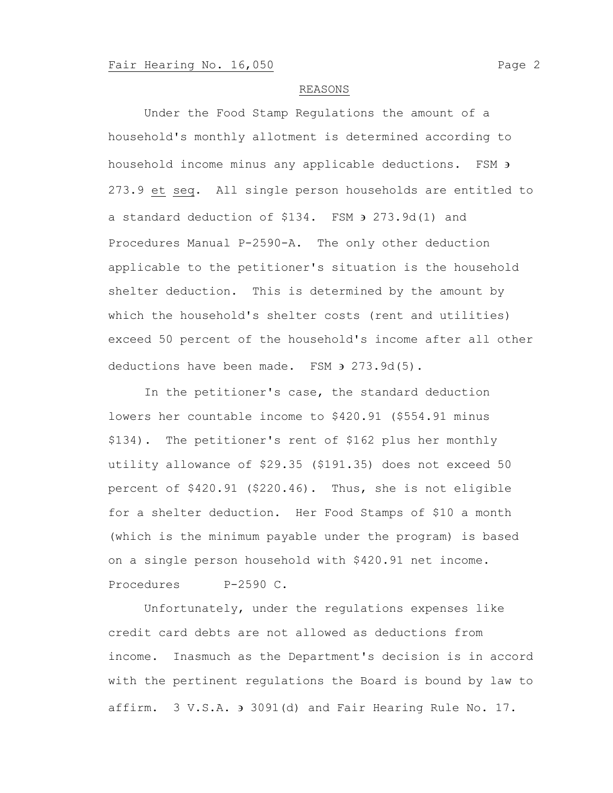### REASONS

Under the Food Stamp Regulations the amount of a household's monthly allotment is determined according to household income minus any applicable deductions. FSM  $\overline{\phantom{a}}$ 273.9 et seq. All single person households are entitled to a standard deduction of  $$134.$  FSM  $\rightarrow$  273.9d(1) and Procedures Manual P-2590-A. The only other deduction applicable to the petitioner's situation is the household shelter deduction. This is determined by the amount by which the household's shelter costs (rent and utilities) exceed 50 percent of the household's income after all other deductions have been made. FSM  $\theta$  273.9d(5).

In the petitioner's case, the standard deduction lowers her countable income to \$420.91 (\$554.91 minus \$134). The petitioner's rent of \$162 plus her monthly utility allowance of \$29.35 (\$191.35) does not exceed 50 percent of \$420.91 (\$220.46). Thus, she is not eligible for a shelter deduction. Her Food Stamps of \$10 a month (which is the minimum payable under the program) is based on a single person household with \$420.91 net income. Procedures P-2590 C.

Unfortunately, under the regulations expenses like credit card debts are not allowed as deductions from income. Inasmuch as the Department's decision is in accord with the pertinent regulations the Board is bound by law to affirm. 3 V.S.A. 3091(d) and Fair Hearing Rule No. 17.